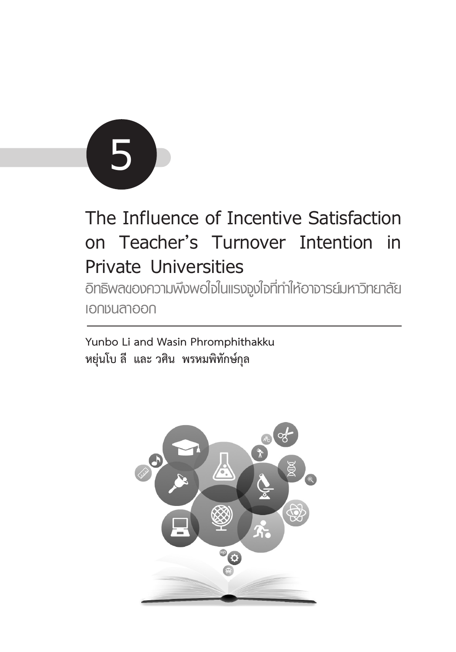

# **The Influence of Incentive Satisfaction on Teacher's Turnover Intention in Private Universities**

**อิทธิพลของความพึงพอใจในแรงจูงใจที่ทำ ให้อาจารย์มหาวิทยาลัย เอกชนลาออก**

**Yunbo Li and Wasin Phromphithakku หยุ่นโบ ลี และ วศิน พรหมพิทักษ์กุล**

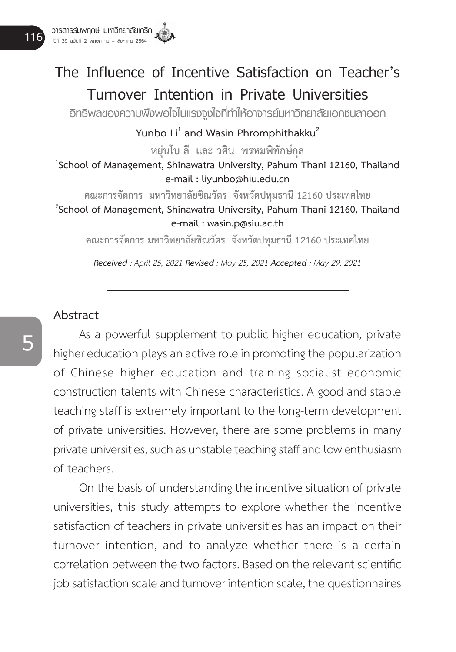# **The Influence of Incentive Satisfaction on Teacher's Turnover Intention in Private Universities**

**อิทธิพลของความพึงพอใจในแรงจูงใจที่ทำ ให้อาจารย์มหาวิทยาลัยเอกชนลาออก**

Yunbo Li<sup>1</sup> and Wasin Phromphithakku<sup>2</sup> **หยุ่นโบ ลี และ วศิน พรหมพิทักษ์กุล <sup>1</sup> School of Management, Shinawatra University, Pahum Thani 12160, Thailand e-mail : liyunbo@hiu.edu.cn คณะการจัดการ มหาวิทยาลัยชิณวัตร จังหวัดปทุมธานี 12160 ประเทศไทย <sup>2</sup>**

**School of Management, Shinawatra University, Pahum Thani 12160, Thailand e-mail : wasin.p@siu.ac.th**

**คณะการจัดการ มหาวิทยาลัยชิณวัตร จังหวัดปทุมธานี 12160 ประเทศไทย**

*Received : April 25, 2021 Revised : May 25, 2021 Accepted : May 29, 2021*

#### **Abstract**

As a powerful supplement to public higher education, private higher education plays an active role in promoting the popularization of Chinese higher education and training socialist economic construction talents with Chinese characteristics. A good and stable teaching staff is extremely important to the long-term development of private universities. However, there are some problems in many private universities, such as unstable teaching staff and low enthusiasm of teachers.

On the basis of understanding the incentive situation of private universities, this study attempts to explore whether the incentive satisfaction of teachers in private universities has an impact on their turnover intention, and to analyze whether there is a certain correlation between the two factors. Based on the relevant scientific job satisfaction scale and turnover intention scale, the questionnaires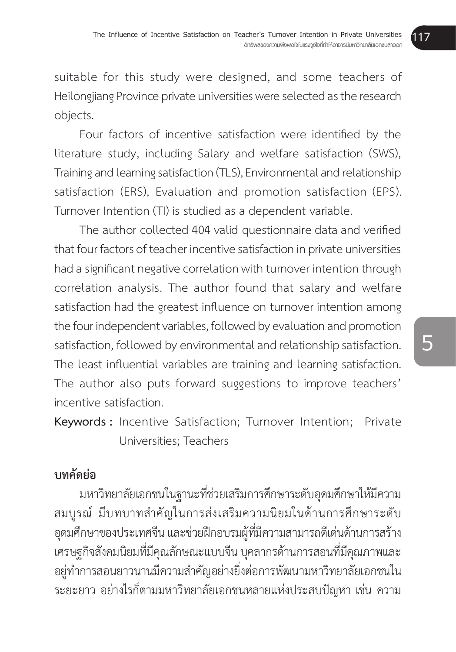suitable for this study were designed, and some teachers of Heilongjiang Province private universities were selected as the research objects.

 Four factors of incentive satisfaction were identified by the literature study, including Salary and welfare satisfaction (SWS), Training and learning satisfaction (TLS), Environmental and relationship satisfaction (ERS), Evaluation and promotion satisfaction (EPS). Turnover Intention (TI) is studied as a dependent variable.

 The author collected 404 valid questionnaire data and verified that four factors of teacher incentive satisfaction in private universities had a significant negative correlation with turnover intention through correlation analysis. The author found that salary and welfare satisfaction had the greatest influence on turnover intention among the four independent variables, followed by evaluation and promotion satisfaction, followed by environmental and relationship satisfaction. The least influential variables are training and learning satisfaction. The author also puts forward suggestions to improve teachers' incentive satisfaction.

**Keywords :** Incentive Satisfaction; Turnover Intention; Private Universities; Teachers

# **บทคัดย่อ**

้มหาวิทยาลัยเอกชนในฐานะที่ช่วยเสริมการศึกษาระดับอุดมศึกษาให้มีความ ้สมบรณ์ มีบทบาทสำคัญในการส่งเสริมความนิยมในด้านการศึกษาระดับ อุดมศึกษาของประเทศจีน และช่วยฝึกอบรมผู้ที่มีความสามารถดีเด่นด้านการสร้าง เศรษฐกิจสังคมนิยมที่มีคุณลักษณะแบบจีน บุคลากรด้านการสอนที่มีคุณภาพและ ้อยู่ทำการสอนยาวนานมีความสำคัญอย่างยิ่งต่อการพัฒนามหาวิทยาลัยเอกชนใน ระยะยาว อย่่างไรก็ต็ามมหาวิิทยาลััยเอกชนหลายแห่่งประสบปััญหา เช่่น ความ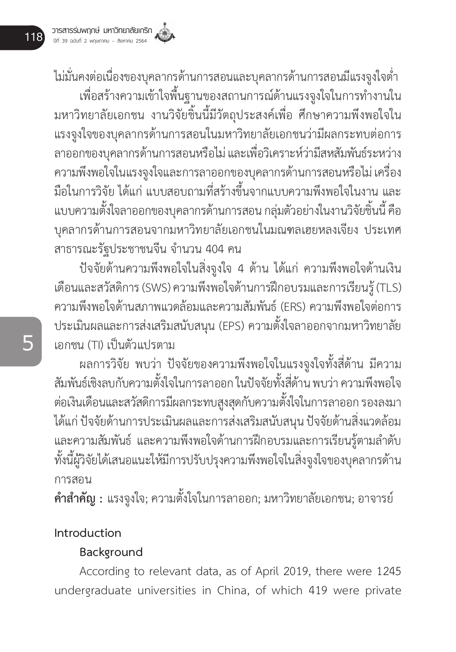ไม่มั่นคงต่อเนื่องของบุคลากรด้านการสอนและบุคลากรด้านการสอนมีแรงจูงใจต่ำ ำ� เพื่อสร้างความเข้าใจพื้นฐานของสถานการณ์ด้านแรงจงใจในการทำงานใน ิมหาวิทยาลัยเอกชน งานวิจัยชิ้นนี้มีวัตถุประสงค์เพื่อ ศึกษาความพึงพอใจใน แรงจููงใจของบุุคลากรด้้านการสอนในมหาวิิทยาลััยเอกชนว่่ามีีผลกระทบต่่อการ ลาออกของบุคลากรด้านการสอนหรือไม่ และเพื่อวิเคราะห์ว่ามีสหสัมพันธ์ระหว่าง ความพึงพอใจในแรงจูงใจและการลาออกของบุคลากรด้านการสอนหรือไม่ เครื่อง มือในการวิจัย ได้แก่ แบบสอบถามที่สร้างขึ้นจากแบบความพึงพอใจในงาน และ ่� แบบความตั้งใจลาออกของบคลากรด้านการสอน กล่มตัวอย่างในงานวิจัยชิ้นนี้ คือ บุุคลากรด้้านการสอนจากมหาวิิทยาลััยเอกชนในมณฑลเฮยหลงเจีียง ประเทศ สาธารณะรัฐประชาชนจีน จำนวน 404 คน

้ปัจจัยด้านความพึงพอใจในสิ่งจูงใจ 4 ด้าน ได้แก่ ความพึงพอใจด้านเงิน เดืือนและสวััสดิิการ(SWS)ความพึึงพอใจด้้านการฝึึกอบรมและการเรีียนรู้้ (TLS) ความพึึงพอใจด้้านสภาพแวดล้้อมและความสััมพัันธ์์(ERS) ความพึึงพอใจต่่อการ ี ประเมินผลและการส่งเสริมสนับสนุน (EPS) ความตั้งใจลาออกจากมหาวิทยาลัย เอกชน (TI) เป็็นตััวแปรตาม

ผลการวิจัย พบว่า ปัจจัยของความพึ่งพอใจในแรงจูงใจทั้งสี่ด้าน มีความ สัมพันธ์เชิงลบกับความตั้งใจในการลาออก ในปัจจัยทั้งสี่ด้าน พบว่า ความพึงพอใจ ต่อเงินเดือนและสวัสดิการมีผลกระทบสูงสุดกับความตั้งใจในการลาออก รองลงมา ได้แก่ ปัจจัยด้านการประเมินผลและการส่งเสริมสนับสนุน ปัจจัยด้านสิ่งแวดล้อม และความสัมพันธ์ และความพึงพอใจด้านการฝึกอบรมและการเรียนรู้ตามลำดับ ทั้งนี้ผู้วิจัยได้เสนอแนะให้มีการปรับปรุงความพึงพอใจในสิ่งจูงใจของบุคลากรด้าน การสอน

**คำสำคัญ :** แรงจูงใจ; ความตั้งใจในการลาออก; มหาวิทยาลัยเอกชน; อาจารย์

# **Introduction**

# **Background**

According to relevant data, as of April 2019, there were 1245 undergraduate universities in China, of which 419 were private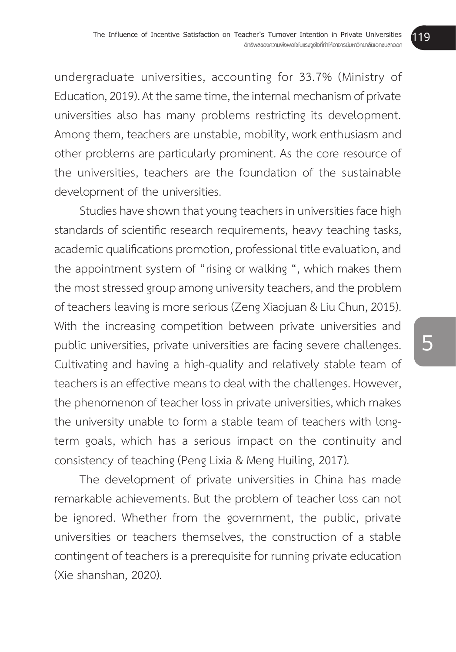undergraduate universities, accounting for 33.7% (Ministry of Education, 2019). At the same time, the internal mechanism of private universities also has many problems restricting its development. Among them, teachers are unstable, mobility, work enthusiasm and other problems are particularly prominent. As the core resource of the universities, teachers are the foundation of the sustainable development of the universities.

Studies have shown that young teachers in universities face high standards of scientific research requirements, heavy teaching tasks, academic qualifications promotion, professional title evaluation, and the appointment system of "rising or walking ", which makes them the most stressed group among university teachers, and the problem of teachers leaving is more serious (Zeng Xiaojuan & Liu Chun, 2015). With the increasing competition between private universities and public universities, private universities are facing severe challenges. Cultivating and having a high-quality and relatively stable team of teachers is an effective means to deal with the challenges. However, the phenomenon of teacher loss in private universities, which makes the university unable to form a stable team of teachers with longterm goals, which has a serious impact on the continuity and consistency of teaching (Peng Lixia & Meng Huiling, 2017).

The development of private universities in China has made remarkable achievements. But the problem of teacher loss can not be ignored. Whether from the government, the public, private universities or teachers themselves, the construction of a stable contingent of teachers is a prerequisite for running private education (Xie shanshan, 2020).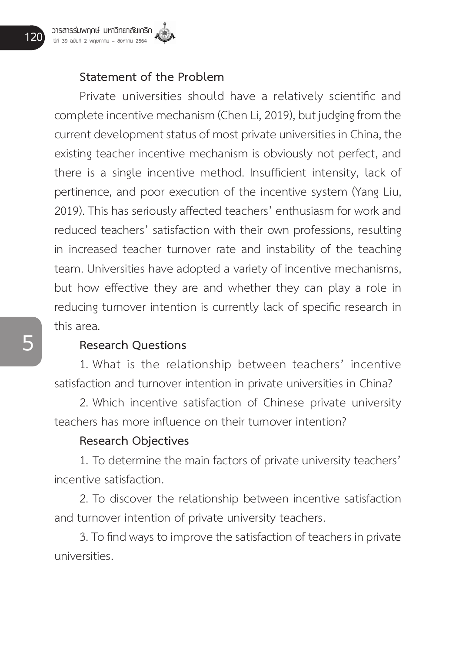#### **Statement of the Problem**

 Private universities should have a relatively scientific and complete incentive mechanism (Chen Li, 2019), but judging from the current development status of most private universities in China, the existing teacher incentive mechanism is obviously not perfect, and there is a single incentive method. Insufficient intensity, lack of pertinence, and poor execution of the incentive system (Yang Liu, 2019). This has seriously affected teachers' enthusiasm for work and reduced teachers' satisfaction with their own professions, resulting in increased teacher turnover rate and instability of the teaching team. Universities have adopted a variety of incentive mechanisms, but how effective they are and whether they can play a role in reducing turnover intention is currently lack of specific research in this area.

#### **Research Questions**

1. What is the relationship between teachers' incentive satisfaction and turnover intention in private universities in China?

2. Which incentive satisfaction of Chinese private university teachers has more influence on their turnover intention?

#### **Research Objectives**

1. To determine the main factors of private university teachers' incentive satisfaction.

2. To discover the relationship between incentive satisfaction and turnover intention of private university teachers.

3. To find ways to improve the satisfaction of teachers in private universities.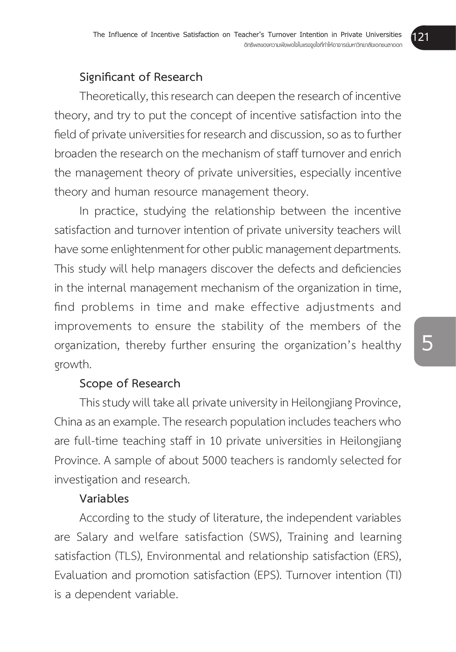# **Significant of Research**

Theoretically, this research can deepen the research of incentive theory, and try to put the concept of incentive satisfaction into the field of private universities for research and discussion, so as to further broaden the research on the mechanism of staff turnover and enrich the management theory of private universities, especially incentive theory and human resource management theory.

In practice, studying the relationship between the incentive satisfaction and turnover intention of private university teachers will have some enlightenment for other public management departments. This study will help managers discover the defects and deficiencies in the internal management mechanism of the organization in time, find problems in time and make effective adjustments and improvements to ensure the stability of the members of the organization, thereby further ensuring the organization's healthy growth.

# **Scope of Research**

This study will take all private university in Heilongjiang Province, China as an example. The research population includes teachers who are full-time teaching staff in 10 private universities in Heilongjiang Province. A sample of about 5000 teachers is randomly selected for investigation and research.

#### **Variables**

According to the study of literature, the independent variables are Salary and welfare satisfaction (SWS), Training and learning satisfaction (TLS), Environmental and relationship satisfaction (ERS), Evaluation and promotion satisfaction (EPS). Turnover intention (TI) is a dependent variable.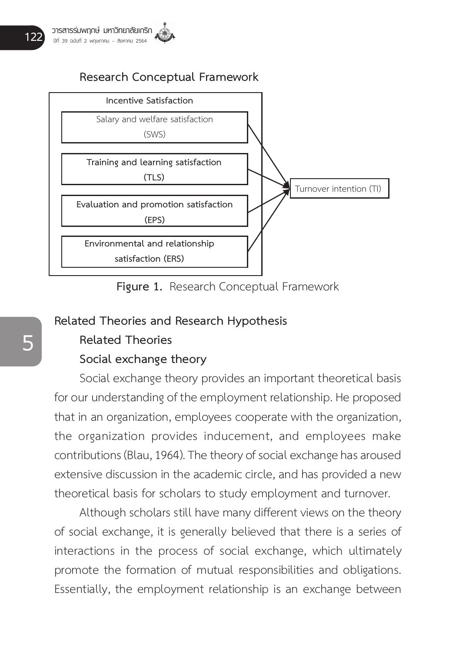# **Research Conceptual Framework**



**Figure 1.** Research Conceptual Framework

#### **Related Theories and Research Hypothesis**

# **Related Theories**

#### **Social exchange theory**

Social exchange theory provides an important theoretical basis for our understanding of the employment relationship. He proposed that in an organization, employees cooperate with the organization, the organization provides inducement, and employees make contributions (Blau, 1964). The theory of social exchange has aroused extensive discussion in the academic circle, and has provided a new theoretical basis for scholars to study employment and turnover.

Although scholars still have many different views on the theory of social exchange, it is generally believed that there is a series of interactions in the process of social exchange, which ultimately promote the formation of mutual responsibilities and obligations. Essentially, the employment relationship is an exchange between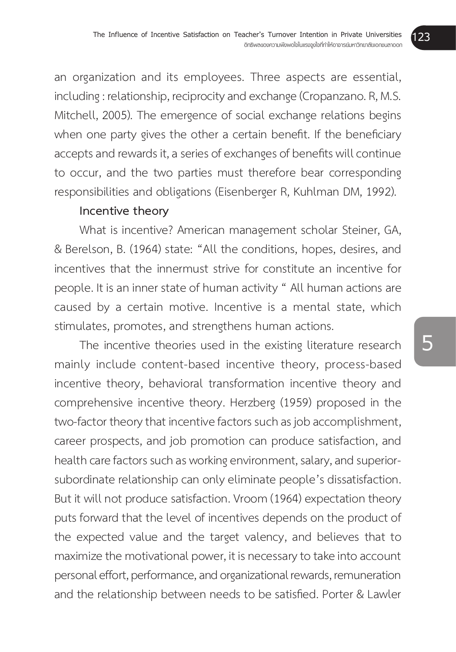an organization and its employees. Three aspects are essential, including : relationship, reciprocity and exchange (Cropanzano. R, M.S. Mitchell, 2005). The emergence of social exchange relations begins when one party gives the other a certain benefit. If the beneficiary accepts and rewards it, a series of exchanges of benefits will continue to occur, and the two parties must therefore bear corresponding responsibilities and obligations (Eisenberger R, Kuhlman DM, 1992).

#### **Incentive theory**

What is incentive? American management scholar Steiner, GA, & Berelson, B. (1964) state: "All the conditions, hopes, desires, and incentives that the innermust strive for constitute an incentive for people. It is an inner state of human activity " All human actions are caused by a certain motive. Incentive is a mental state, which stimulates, promotes, and strengthens human actions.

The incentive theories used in the existing literature research mainly include content-based incentive theory, process-based incentive theory, behavioral transformation incentive theory and comprehensive incentive theory. Herzberg (1959) proposed in the two-factor theory that incentive factors such as job accomplishment, career prospects, and job promotion can produce satisfaction, and health care factors such as working environment, salary, and superiorsubordinate relationship can only eliminate people's dissatisfaction. But it will not produce satisfaction. Vroom (1964) expectation theory puts forward that the level of incentives depends on the product of the expected value and the target valency, and believes that to maximize the motivational power, it is necessary to take into account personal effort, performance, and organizational rewards, remuneration and the relationship between needs to be satisfied. Porter & Lawler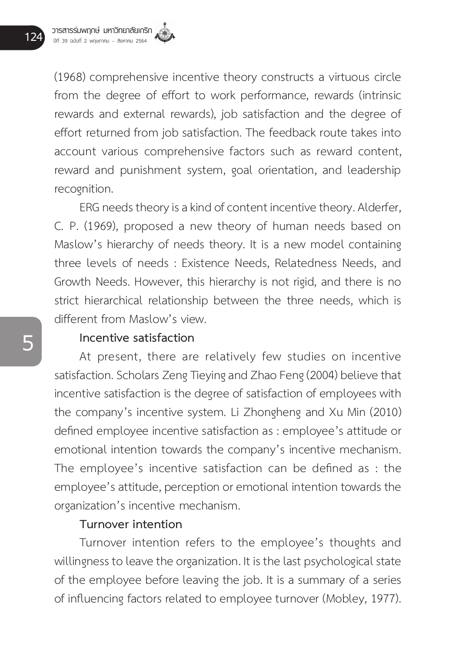(1968) comprehensive incentive theory constructs a virtuous circle from the degree of effort to work performance, rewards (intrinsic rewards and external rewards), job satisfaction and the degree of effort returned from job satisfaction. The feedback route takes into account various comprehensive factors such as reward content, reward and punishment system, goal orientation, and leadership recognition.

ERG needs theory is a kind of content incentive theory. Alderfer, C. P. (1969), proposed a new theory of human needs based on Maslow's hierarchy of needs theory. It is a new model containing three levels of needs : Existence Needs, Relatedness Needs, and Growth Needs. However, this hierarchy is not rigid, and there is no strict hierarchical relationship between the three needs, which is different from Maslow's view.

#### **Incentive satisfaction**

At present, there are relatively few studies on incentive satisfaction. Scholars Zeng Tieying and Zhao Feng (2004) believe that incentive satisfaction is the degree of satisfaction of employees with the company's incentive system. Li Zhongheng and Xu Min (2010) defined employee incentive satisfaction as : employee's attitude or emotional intention towards the company's incentive mechanism. The employee's incentive satisfaction can be defined as : the employee's attitude, perception or emotional intention towards the organization's incentive mechanism.

#### **Turnover intention**

Turnover intention refers to the employee's thoughts and willingness to leave the organization. It is the last psychological state of the employee before leaving the job. It is a summary of a series of influencing factors related to employee turnover (Mobley, 1977).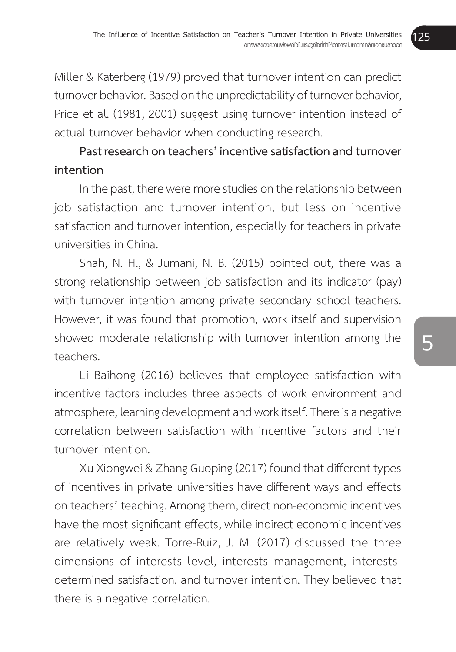Miller & Katerberg (1979) proved that turnover intention can predict turnover behavior. Based on the unpredictability of turnover behavior, Price et al. (1981, 2001) suggest using turnover intention instead of actual turnover behavior when conducting research.

# **Past research on teachers' incentive satisfaction and turnover intention**

In the past, there were more studies on the relationship between job satisfaction and turnover intention, but less on incentive satisfaction and turnover intention, especially for teachers in private universities in China.

Shah, N. H., & Jumani, N. B. (2015) pointed out, there was a strong relationship between job satisfaction and its indicator (pay) with turnover intention among private secondary school teachers. However, it was found that promotion, work itself and supervision showed moderate relationship with turnover intention among the teachers.

Li Baihong (2016) believes that employee satisfaction with incentive factors includes three aspects of work environment and atmosphere, learning development and work itself. There is a negative correlation between satisfaction with incentive factors and their turnover intention.

Xu Xiongwei & Zhang Guoping (2017) found that different types of incentives in private universities have different ways and effects on teachers' teaching. Among them, direct non-economic incentives have the most significant effects, while indirect economic incentives are relatively weak. Torre-Ruiz, J. M. (2017) discussed the three dimensions of interests level, interests management, interestsdetermined satisfaction, and turnover intention. They believed that there is a negative correlation.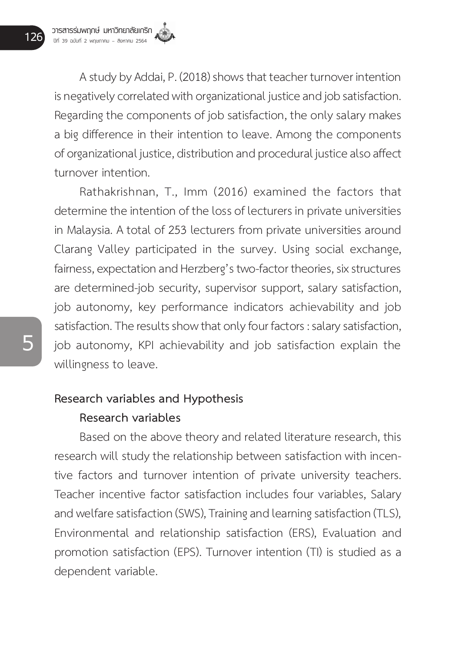A study by Addai, P. (2018) shows that teacher turnover intention is negatively correlated with organizational justice and job satisfaction. Regarding the components of job satisfaction, the only salary makes a big difference in their intention to leave. Among the components of organizational justice, distribution and procedural justice also affect turnover intention.

Rathakrishnan, T., Imm (2016) examined the factors that determine the intention of the loss of lecturers in private universities in Malaysia. A total of 253 lecturers from private universities around Clarang Valley participated in the survey. Using social exchange, fairness, expectation and Herzberg's two-factor theories, six structures are determined-job security, supervisor support, salary satisfaction, job autonomy, key performance indicators achievability and job satisfaction. The results show that only four factors : salary satisfaction, job autonomy, KPI achievability and job satisfaction explain the willingness to leave.

# **Research variables and Hypothesis**

# **Research variables**

Based on the above theory and related literature research, this research will study the relationship between satisfaction with incentive factors and turnover intention of private university teachers. Teacher incentive factor satisfaction includes four variables, Salary and welfare satisfaction (SWS), Training and learning satisfaction (TLS), Environmental and relationship satisfaction (ERS), Evaluation and promotion satisfaction (EPS). Turnover intention (TI) is studied as a dependent variable.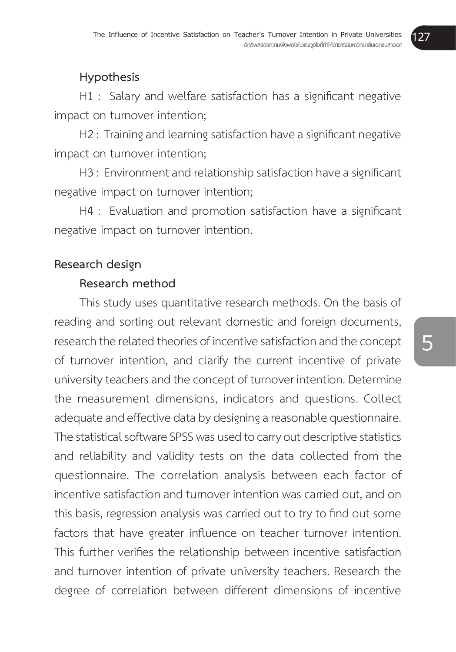# **Hypothesis**

 H1 : Salary and welfare satisfaction has a significant negative impact on turnover intention;

H2: Training and learning satisfaction have a significant negative impact on turnover intention;

H3: Environment and relationship satisfaction have a significant negative impact on turnover intention;

 H4 : Evaluation and promotion satisfaction have a significant negative impact on turnover intention.

# **Research design**

# **Research method**

This study uses quantitative research methods. On the basis of reading and sorting out relevant domestic and foreign documents, research the related theories of incentive satisfaction and the concept of turnover intention, and clarify the current incentive of private university teachers and the concept of turnover intention. Determine the measurement dimensions, indicators and questions. Collect adequate and effective data by designing a reasonable questionnaire. The statistical software SPSS was used to carry out descriptive statistics and reliability and validity tests on the data collected from the questionnaire. The correlation analysis between each factor of incentive satisfaction and turnover intention was carried out, and on this basis, regression analysis was carried out to try to find out some factors that have greater influence on teacher turnover intention. This further verifies the relationship between incentive satisfaction and turnover intention of private university teachers. Research the degree of correlation between different dimensions of incentive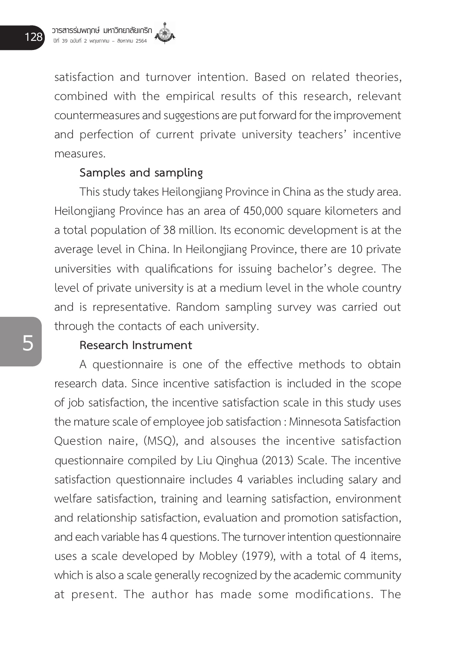satisfaction and turnover intention. Based on related theories, combined with the empirical results of this research, relevant countermeasures and suggestions are put forward for the improvement and perfection of current private university teachers' incentive measures.

## **Samples and sampling**

This study takes Heilongjiang Province in China as the study area. Heilongjiang Province has an area of 450,000 square kilometers and a total population of 38 million. Its economic development is at the average level in China. In Heilongjiang Province, there are 10 private universities with qualifications for issuing bachelor's degree. The level of private university is at a medium level in the whole country and is representative. Random sampling survey was carried out through the contacts of each university.

#### **Research Instrument**

A questionnaire is one of the effective methods to obtain research data. Since incentive satisfaction is included in the scope of job satisfaction, the incentive satisfaction scale in this study uses the mature scale of employee job satisfaction : Minnesota Satisfaction Question naire, (MSQ), and alsouses the incentive satisfaction questionnaire compiled by Liu Qinghua (2013) Scale. The incentive satisfaction questionnaire includes 4 variables including salary and welfare satisfaction, training and learning satisfaction, environment and relationship satisfaction, evaluation and promotion satisfaction, and each variable has 4 questions. The turnover intention questionnaire uses a scale developed by Mobley (1979), with a total of 4 items, which is also a scale generally recognized by the academic community at present. The author has made some modifications. The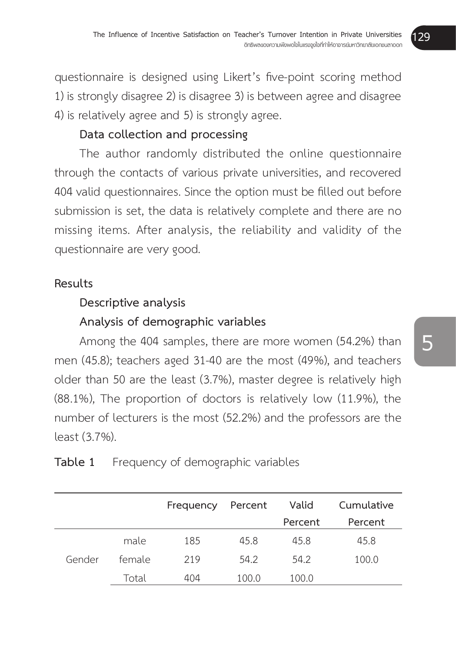questionnaire is designed using Likert's five-point scoring method 1) is strongly disagree 2) is disagree 3) is between agree and disagree 4) is relatively agree and 5) is strongly agree.

# **Data collection and processing**

The author randomly distributed the online questionnaire through the contacts of various private universities, and recovered 404 valid questionnaires. Since the option must be filled out before submission is set, the data is relatively complete and there are no missing items. After analysis, the reliability and validity of the questionnaire are very good.

## **Results**

# **Descriptive analysis**

# **Analysis of demographic variables**

Among the 404 samples, there are more women (54.2%) than men (45.8); teachers aged 31-40 are the most (49%), and teachers older than 50 are the least (3.7%), master degree is relatively high (88.1%), The proportion of doctors is relatively low (11.9%), the number of lecturers is the most (52.2%) and the professors are the least (3.7%).

|        |        | Frequency | Percent | Valid   | Cumulative |
|--------|--------|-----------|---------|---------|------------|
|        |        |           |         | Percent | Percent    |
|        | male   | 185       | 45.8    | 45.8    | 45.8       |
| Gender | female | 219       | 54.2    | 54.2    | 100.0      |
|        | Total  | 404       | 100.0   | 100.0   |            |

# **Table 1** Frequency of demographic variables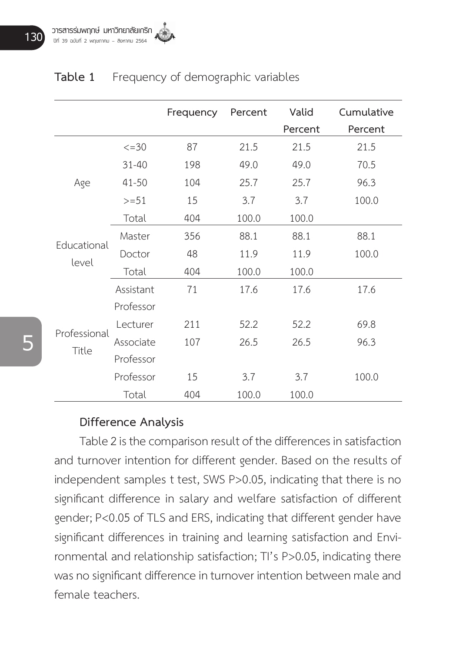|                       |             | Frequency | Percent | Valid   | Cumulative |
|-----------------------|-------------|-----------|---------|---------|------------|
|                       |             |           |         | Percent | Percent    |
|                       | $\leq$ = 30 | 87        | 21.5    | 21.5    | 21.5       |
|                       | $31 - 40$   | 198       | 49.0    | 49.0    | 70.5       |
| Age                   | $41 - 50$   | 104       | 25.7    | 25.7    | 96.3       |
|                       | $>=51$      | 15        | 3.7     | 3.7     | 100.0      |
|                       | Total       | 404       | 100.0   | 100.0   |            |
|                       | Master      | 356       | 88.1    | 88.1    | 88.1       |
| Educational           | Doctor      | 48        | 11.9    | 11.9    | 100.0      |
| level                 | Total       | 404       | 100.0   | 100.0   |            |
|                       | Assistant   | 71        | 17.6    | 17.6    | 17.6       |
|                       | Professor   |           |         |         |            |
|                       | Lecturer    | 211       | 52.2    | 52.2    | 69.8       |
| Professional<br>Title | Associate   | 107       | 26.5    | 26.5    | 96.3       |
|                       | Professor   |           |         |         |            |
|                       | Professor   | 15        | 3.7     | 3.7     | 100.0      |
|                       | Total       | 404       | 100.0   | 100.0   |            |

## **Table 1** Frequency of demographic variables

#### **Difference Analysis**

Table 2 is the comparison result of the differences in satisfaction and turnover intention for different gender. Based on the results of independent samples t test, SWS P>0.05, indicating that there is no significant difference in salary and welfare satisfaction of different gender; P<0.05 of TLS and ERS, indicating that different gender have significant differences in training and learning satisfaction and Environmental and relationship satisfaction; TI's P>0.05, indicating there was no significant difference in turnover intention between male and female teachers.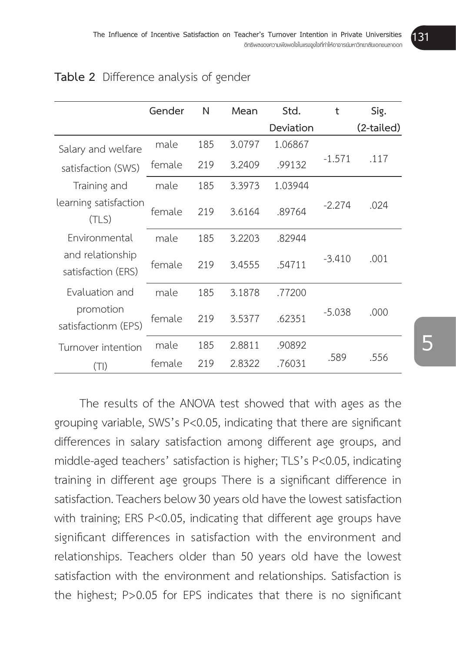|                                        | Gender | N   | Mean   | Std.      | t        | Sig.       |
|----------------------------------------|--------|-----|--------|-----------|----------|------------|
|                                        |        |     |        | Deviation |          | (2-tailed) |
| Salary and welfare                     | male   | 185 | 3.0797 | 1.06867   |          |            |
| satisfaction (SWS)                     | female | 219 | 3.2409 | .99132    | $-1.571$ | .117       |
| Training and                           | male   | 185 | 3.3973 | 1.03944   |          |            |
| learning satisfaction<br>(TLS)         | female | 219 | 3.6164 | .89764    | $-2.274$ | .024       |
| Environmental                          | male   | 185 | 3.2203 | .82944    |          |            |
| and relationship<br>satisfaction (ERS) | female | 219 | 3.4555 | .54711    | $-3.410$ | .001       |
| Evaluation and                         | male   | 185 | 3.1878 | .77200    |          |            |
| promotion<br>satisfactionm (EPS)       | female | 219 | 3.5377 | .62351    | $-5.038$ | .000       |
| Turnover intention                     | male   | 185 | 2.8811 | .90892    |          |            |
| $(\top \vert)$                         | female | 219 | 2.8322 | .76031    | .589     | .556       |

#### **Table 2** Difference analysis of gender

The results of the ANOVA test showed that with ages as the grouping variable, SWS's P<0.05, indicating that there are significant differences in salary satisfaction among different age groups, and middle-aged teachers' satisfaction is higher; TLS's P<0.05, indicating training in different age groups There is a significant difference in satisfaction. Teachers below 30 years old have the lowest satisfaction with training; ERS P<0.05, indicating that different age groups have significant differences in satisfaction with the environment and relationships. Teachers older than 50 years old have the lowest satisfaction with the environment and relationships. Satisfaction is the highest; P>0.05 for EPS indicates that there is no significant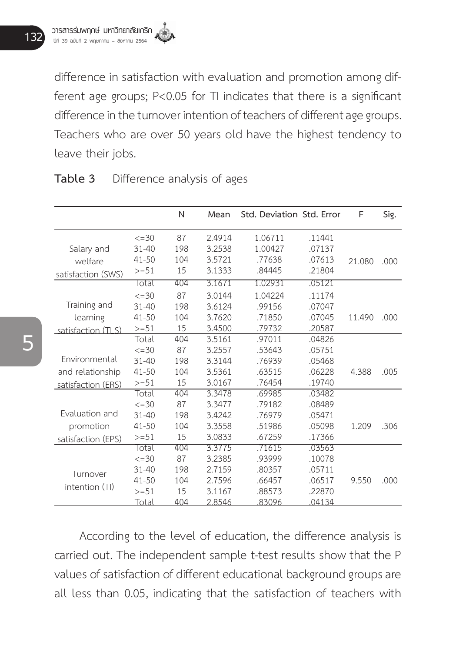difference in satisfaction with evaluation and promotion among different age groups; P<0.05 for TI indicates that there is a significant difference in the turnover intention of teachers of different age groups. Teachers who are over 50 years old have the highest tendency to leave their jobs.

|                    |             | N   | Mean   | Std. Deviation Std. Error |        | F      | Sig. |
|--------------------|-------------|-----|--------|---------------------------|--------|--------|------|
|                    | $\leq$ = 30 | 87  | 2.4914 | 1.06711                   | 11441  |        |      |
| Salary and         | $31 - 40$   | 198 | 3.2538 | 1.00427                   | .07137 |        |      |
| welfare            | $41 - 50$   | 104 | 3.5721 | .77638                    | .07613 | 21.080 | .000 |
| satisfaction (SWS) | $>=51$      | 15  | 3.1333 | .84445                    | .21804 |        |      |
|                    | Total       | 404 | 3.1671 | 1.02931                   | .05121 |        |      |
|                    | $\leq$ =30  | 87  | 3.0144 | 1.04224                   | .11174 |        |      |
| Training and       | $31 - 40$   | 198 | 3.6124 | .99156                    | .07047 |        |      |
| learning           | 41-50       | 104 | 3.7620 | .71850                    | .07045 | 11.490 | .000 |
| satisfaction (TLS) | $>=51$      | 15  | 3.4500 | .79732                    | .20587 |        |      |
|                    | Total       | 404 | 3.5161 | .97011                    | .04826 |        |      |
|                    | $\leq$ =30  | 87  | 3.2557 | .53643                    | .05751 |        |      |
| Environmental      | $31 - 40$   | 198 | 3.3144 | .76939                    | .05468 |        |      |
| and relationship   | $41 - 50$   | 104 | 3.5361 | .63515                    | .06228 | 4.388  | .005 |
| satisfaction (ERS) | $>=51$      | 15  | 3.0167 | .76454                    | .19740 |        |      |
|                    | Total       | 404 | 3.3478 | .69985                    | .03482 |        |      |
|                    | $\leq$ =30  | 87  | 3.3477 | .79182                    | .08489 |        |      |
| Evaluation and     | $31 - 40$   | 198 | 3.4242 | .76979                    | .05471 |        |      |
| promotion          | $41 - 50$   | 104 | 3.3558 | .51986                    | .05098 | 1.209  | .306 |
| satisfaction (EPS) | $>=51$      | 15  | 3.0833 | .67259                    | .17366 |        |      |
|                    | Total       | 404 | 3.3775 | .71615                    | .03563 |        |      |
|                    | $\leq$ = 30 | 87  | 3.2385 | .93999                    | .10078 |        |      |
| Turnover           | $31 - 40$   | 198 | 2.7159 | .80357                    | .05711 |        |      |
| intention (TI)     | $41 - 50$   | 104 | 2.7596 | .66457                    | .06517 | 9.550  | .000 |
|                    | $>=51$      | 15  | 3.1167 | .88573                    | .22870 |        |      |
|                    | Total       | 404 | 2.8546 | .83096                    | 04134  |        |      |

#### **Table 3** Difference analysis of ages

According to the level of education, the difference analysis is carried out. The independent sample t-test results show that the P values of satisfaction of different educational background groups are all less than 0.05, indicating that the satisfaction of teachers with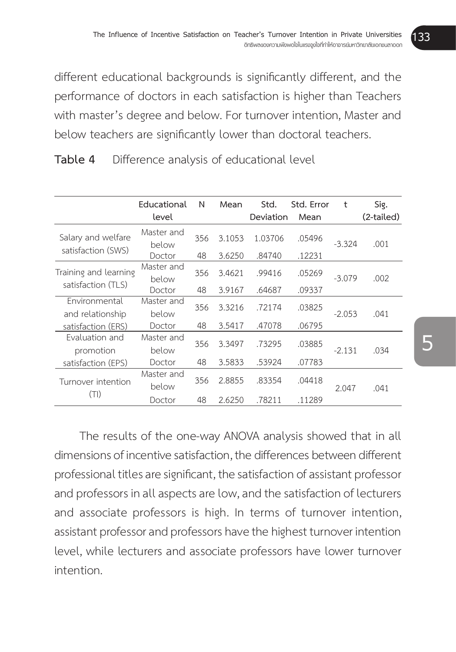different educational backgrounds is significantly different, and the performance of doctors in each satisfaction is higher than Teachers with master's degree and below. For turnover intention, Master and below teachers are significantly lower than doctoral teachers.

|                                   | Educational         | N   | Mean   | Std.      | Std. Error | t        | Sig.       |
|-----------------------------------|---------------------|-----|--------|-----------|------------|----------|------------|
|                                   | level               |     |        | Deviation | Mean       |          | (2-tailed) |
| Salary and welfare                | Master and<br>below | 356 | 3.1053 | 1.03706   | .05496     | $-3.324$ | .001       |
| satisfaction (SWS)                | Doctor              | 48  | 3.6250 | .84740    | .12231     |          |            |
| Training and learning             | Master and<br>below | 356 | 3.4621 | .99416    | .05269     | $-3.079$ | .002       |
| satisfaction (TLS)                | Doctor              | 48  | 3.9167 | .64687    | .09337     |          |            |
| Environmental<br>and relationship | Master and<br>below | 356 | 3.3216 | .72174    | .03825     | $-2.053$ | .041       |
| satisfaction (ERS)                | Doctor              | 48  | 3.5417 | .47078    | .06795     |          |            |
| Evaluation and<br>promotion       | Master and<br>below | 356 | 3.3497 | .73295    | .03885     | $-2.131$ | .034       |
| satisfaction (EPS)                | Doctor              | 48  | 3.5833 | .53924    | .07783     |          |            |
| Turnover intention                | Master and<br>below | 356 | 2.8855 | .83354    | .04418     | 2.047    | .041       |
| (TI)                              | Doctor              | 48  | 2.6250 | .78211    | .11289     |          |            |

**Table 4** Difference analysis of educational level

The results of the one-way ANOVA analysis showed that in all dimensions of incentive satisfaction, the differences between different professional titles are significant, the satisfaction of assistant professor and professors in all aspects are low, and the satisfaction of lecturers and associate professors is high. In terms of turnover intention, assistant professor and professors have the highest turnover intention level, while lecturers and associate professors have lower turnover intention.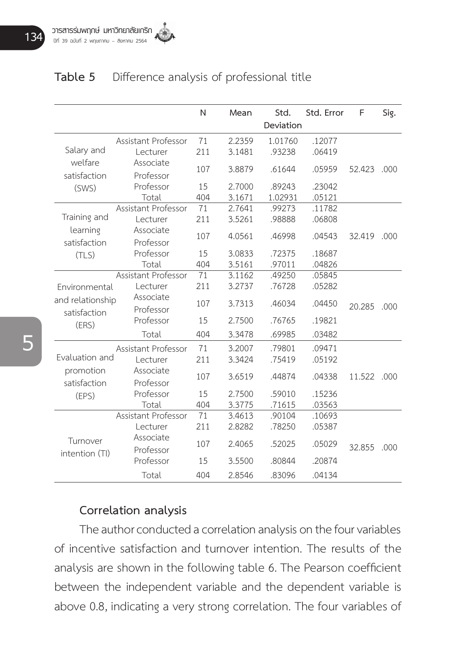# **Table 5** Difference analysis of professional title

|                                  |                        | N   | Mean   | Std.      | Std. Error | F           | Sig. |
|----------------------------------|------------------------|-----|--------|-----------|------------|-------------|------|
|                                  |                        |     |        | Deviation |            |             |      |
|                                  | Assistant Professor    | 71  | 2.2359 | 1.01760   | .12077     |             |      |
| Salary and                       | Lecturer               | 211 | 3.1481 | .93238    | .06419     |             |      |
| welfare<br>satisfaction          | Associate<br>Professor | 107 | 3.8879 | .61644    | .05959     | 52.423      | .000 |
| (SWS)                            | Professor              | 15  | 2.7000 | .89243    | .23042     |             |      |
|                                  | Total                  | 404 | 3.1671 | 1.02931   | .05121     |             |      |
|                                  | Assistant Professor    | 71  | 2.7641 | .99273    | .11782     |             |      |
| Training and                     | Lecturer               | 211 | 3.5261 | .98888    | .06808     |             |      |
| learning<br>satisfaction         | Associate<br>Professor | 107 | 4.0561 | .46998    | .04543     | 32.419      | .000 |
| (TLS)                            | Professor              | 15  | 3.0833 | .72375    | .18687     |             |      |
|                                  | Total                  | 404 | 3.5161 | .97011    | .04826     |             |      |
|                                  | Assistant Professor    | 71  | 3.1162 | .49250    | .05845     |             |      |
| Environmental                    | Lecturer               | 211 | 3.2737 | .76728    | .05282     |             |      |
| and relationship<br>satisfaction | Associate<br>Professor | 107 | 3.7313 | .46034    | .04450     | 20.285      | .000 |
| (ERS)                            | Professor              | 15  | 2.7500 | .76765    | .19821     |             |      |
|                                  | Total                  | 404 | 3.3478 | .69985    | .03482     |             |      |
|                                  | Assistant Professor    | 71  | 3.2007 | .79801    | .09471     |             |      |
| Evaluation and                   | Lecturer               | 211 | 3.3424 | .75419    | .05192     |             |      |
| promotion<br>satisfaction        | Associate<br>Professor | 107 | 3.6519 | .44874    | .04338     | 11.522 .000 |      |
| (EPS)                            | Professor              | 15  | 2.7500 | .59010    | .15236     |             |      |
|                                  | Total                  | 404 | 3.3775 | .71615    | .03563     |             |      |
|                                  | Assistant Professor    | 71  | 3.4613 | .90104    | .10693     |             |      |
|                                  | Lecturer               | 211 | 2.8282 | .78250    | .05387     |             |      |
| Turnover<br>intention (TI)       | Associate<br>Professor | 107 | 2.4065 | .52025    | .05029     | 32.855      | .000 |
|                                  | Professor              | 15  | 3.5500 | .80844    | .20874     |             |      |
|                                  | Total                  | 404 | 2.8546 | .83096    | .04134     |             |      |

#### **Correlation analysis**

The author conducted a correlation analysis on the four variables of incentive satisfaction and turnover intention. The results of the analysis are shown in the following table 6. The Pearson coefficient between the independent variable and the dependent variable is above 0.8, indicating a very strong correlation. The four variables of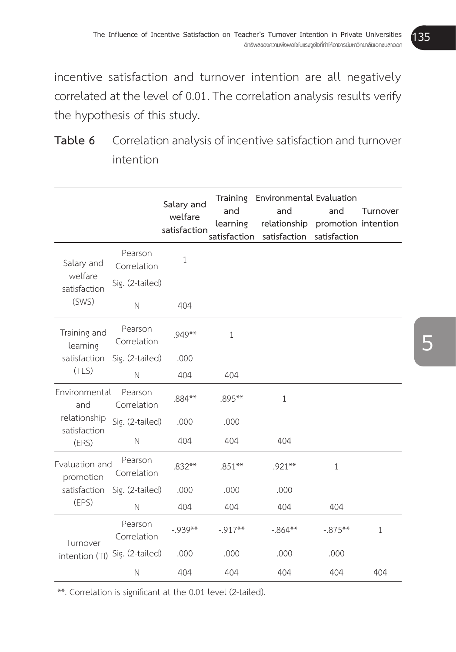incentive satisfaction and turnover intention are all negatively correlated at the level of 0.01. The correlation analysis results verify the hypothesis of this study.

| Table 6 Correlation analysis of incentive satisfaction and turnover |
|---------------------------------------------------------------------|
| intention                                                           |

|                              |                        | Salary and<br>welfare<br>satisfaction | and<br>learning | Training Environmental Evaluation<br>and<br>relationship<br>satisfaction satisfaction | and<br>promotion intention<br>satisfaction | Turnover |
|------------------------------|------------------------|---------------------------------------|-----------------|---------------------------------------------------------------------------------------|--------------------------------------------|----------|
| Salary and                   | Pearson<br>Correlation | 1                                     |                 |                                                                                       |                                            |          |
| welfare<br>satisfaction      | Sig. (2-tailed)        |                                       |                 |                                                                                       |                                            |          |
| (SWS)                        | $\mathbb N$            | 404                                   |                 |                                                                                       |                                            |          |
| Training and<br>learning     | Pearson<br>Correlation | $.949**$                              | 1               |                                                                                       |                                            |          |
| satisfaction<br>(TLS)        | Sig. (2-tailed)        | .000                                  |                 |                                                                                       |                                            |          |
|                              | $\mathbb N$            | 404                                   | 404             |                                                                                       |                                            |          |
| Environmental<br>and         | Pearson<br>Correlation | $.884**$                              | .895**          | $\mathbf{1}$                                                                          |                                            |          |
| relationship<br>satisfaction | Sig. (2-tailed)        | .000                                  | .000            |                                                                                       |                                            |          |
| (ERS)                        | $\mathbb N$            | 404                                   | 404             | 404                                                                                   |                                            |          |
| Evaluation and<br>promotion  | Pearson<br>Correlation | $.832***$                             | $.851***$       | $.921***$                                                                             | $\mathbf{1}$                               |          |
| satisfaction                 | Sig. (2-tailed)        | .000                                  | .000            | .000                                                                                  |                                            |          |
| (EPS)                        | $\mathbb N$            | 404                                   | 404             | 404                                                                                   | 404                                        |          |
| Turnover                     | Pearson<br>Correlation | $-939**$                              | $-917**$        | $-0.864***$                                                                           | $-0.875***$                                | 1        |
| intention (TI)               | Sig. (2-tailed)        | .000                                  | .000            | .000                                                                                  | .000                                       |          |
|                              | $\mathbb N$            | 404                                   | 404             | 404                                                                                   | 404                                        | 404      |

\*\*. Correlation is significant at the 0.01 level (2-tailed).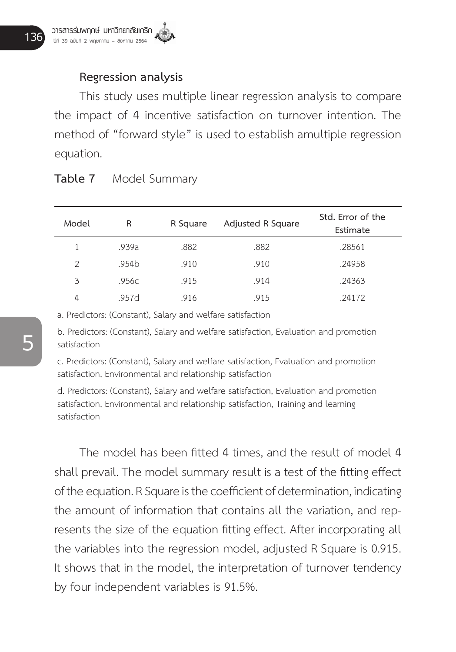## **Regression analysis**

This study uses multiple linear regression analysis to compare the impact of 4 incentive satisfaction on turnover intention. The method of "forward style" is used to establish amultiple regression equation.

| Model | R     | R Square | Adjusted R Square | Std. Error of the<br>Estimate |
|-------|-------|----------|-------------------|-------------------------------|
|       | .939a | .882     | .882              | .28561                        |
| 2     | .954b | .910     | .910              | .24958                        |
| 3     | .956c | .915     | .914              | .24363                        |
| 4     | .957d | .916     | .915              | .24172                        |

#### **Table 7** Model Summary

a. Predictors: (Constant), Salary and welfare satisfaction

b. Predictors: (Constant), Salary and welfare satisfaction, Evaluation and promotion satisfaction

c. Predictors: (Constant), Salary and welfare satisfaction, Evaluation and promotion satisfaction, Environmental and relationship satisfaction

d. Predictors: (Constant), Salary and welfare satisfaction, Evaluation and promotion satisfaction, Environmental and relationship satisfaction, Training and learning satisfaction

 The model has been fitted 4 times, and the result of model 4 shall prevail. The model summary result is a test of the fitting effect of the equation. R Square is the coefficient of determination, indicating the amount of information that contains all the variation, and represents the size of the equation fitting effect. After incorporating all the variables into the regression model, adjusted R Square is 0.915. It shows that in the model, the interpretation of turnover tendency by four independent variables is 91.5%.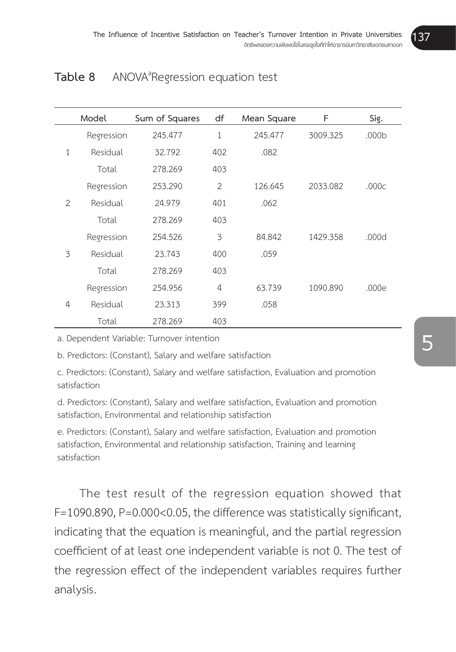# **Table 8** ANOVA<sup>ª</sup> Regression equation test

|                | Model      | Sum of Squares | df             | Mean Square | F        | Sig.  |
|----------------|------------|----------------|----------------|-------------|----------|-------|
|                | Regression | 245.477        | 1              | 245.477     | 3009.325 | .000b |
| $\mathbf{1}$   | Residual   | 32.792         | 402            | .082        |          |       |
|                | Total      | 278.269        | 403            |             |          |       |
|                | Regression | 253.290        | $\overline{2}$ | 126.645     | 2033.082 | .000c |
| $\overline{2}$ | Residual   | 24.979         | 401            | .062        |          |       |
|                | Total      | 278.269        | 403            |             |          |       |
|                | Regression | 254.526        | 3              | 84.842      | 1429.358 | .000d |
| 3              | Residual   | 23.743         | 400            | .059        |          |       |
|                | Total      | 278.269        | 403            |             |          |       |
|                | Regression | 254.956        | 4              | 63.739      | 1090.890 | .000e |
| 4              | Residual   | 23.313         | 399            | .058        |          |       |
|                | Total      | 278.269        | 403            |             |          |       |

a. Dependent Variable: Turnover intention

b. Predictors: (Constant), Salary and welfare satisfaction

c. Predictors: (Constant), Salary and welfare satisfaction, Evaluation and promotion satisfaction

d. Predictors: (Constant), Salary and welfare satisfaction, Evaluation and promotion satisfaction, Environmental and relationship satisfaction

e. Predictors: (Constant), Salary and welfare satisfaction, Evaluation and promotion satisfaction, Environmental and relationship satisfaction, Training and learning satisfaction

The test result of the regression equation showed that F=1090.890, P=0.000<0.05, the difference was statistically significant, indicating that the equation is meaningful, and the partial regression coefficient of at least one independent variable is not 0. The test of the regression effect of the independent variables requires further analysis.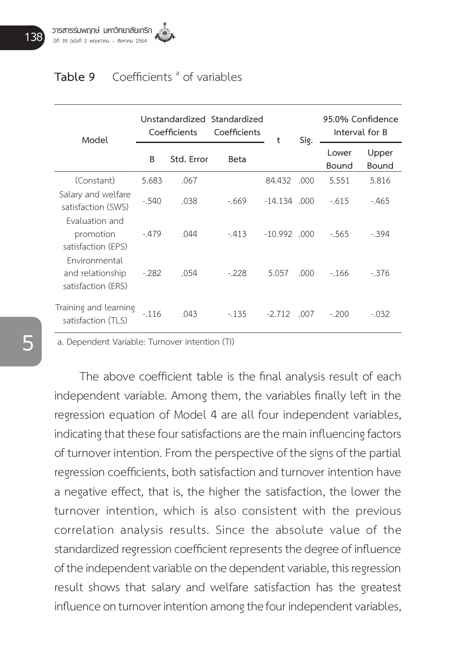# **Table 9** Coefficients <sup>a</sup> of variables

| Model                                                   | Unstandardized Standardized<br>Coefficients |      | Coefficients | t              | Sig.  | 95.0% Confidence<br>Interval for B |                |
|---------------------------------------------------------|---------------------------------------------|------|--------------|----------------|-------|------------------------------------|----------------|
|                                                         | B<br>Std. Error                             |      | Beta         |                |       | Lower<br>Bound                     | Upper<br>Bound |
| (Constant)                                              | 5.683                                       | .067 |              | 84.432         | .000  | 5.551                              | 5.816          |
| Salary and welfare<br>satisfaction (SWS)                | $-.540$                                     | .038 | $-669$       | $-14.134$ .000 |       | $-615$                             | $-0.465$       |
| Evaluation and<br>promotion<br>satisfaction (EPS)       | $-479$                                      | .044 | $-413$       | $-10.992$ .000 |       | $-565$                             | $-394$         |
| Environmental<br>and relationship<br>satisfaction (ERS) | $-.282$                                     | .054 | $-228$       | 5.057          | .000. | $-166$                             | $-376$         |
| Training and learning<br>satisfaction (TLS)             | $-116$                                      | .043 | $-135$       | $-2.712$       | .007  | $-200$                             | $-.032$        |

a. Dependent Variable: Turnover intention (TI)

 The above coefficient table is the final analysis result of each independent variable. Among them, the variables finally left in the regression equation of Model 4 are all four independent variables, indicating that these four satisfactions are the main influencing factors of turnover intention. From the perspective of the signs of the partial regression coefficients, both satisfaction and turnover intention have a negative effect, that is, the higher the satisfaction, the lower the turnover intention, which is also consistent with the previous correlation analysis results. Since the absolute value of the standardized regression coefficient represents the degree of influence of the independent variable on the dependent variable, this regression result shows that salary and welfare satisfaction has the greatest influence on turnover intention among the four independent variables,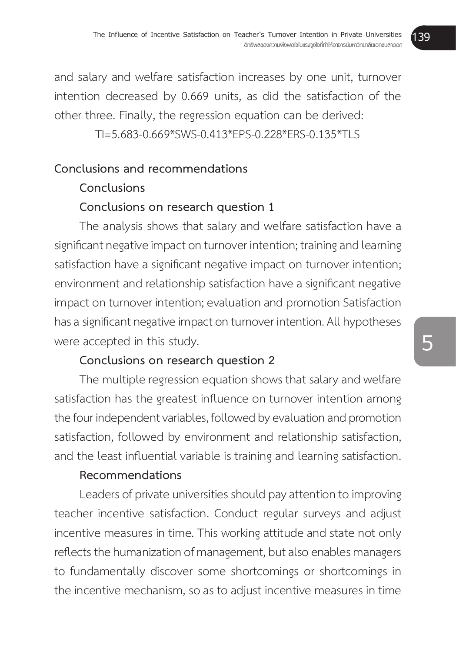and salary and welfare satisfaction increases by one unit, turnover intention decreased by 0.669 units, as did the satisfaction of the other three. Finally, the regression equation can be derived:

TI=5.683-0.669\*SWS-0.413\*EPS-0.228\*ERS-0.135\*TLS

# **Conclusions and recommendations**

# **Conclusions**

# **Conclusions on research question 1**

The analysis shows that salary and welfare satisfaction have a significant negative impact on turnover intention; training and learning satisfaction have a significant negative impact on turnover intention; environment and relationship satisfaction have a significant negative impact on turnover intention; evaluation and promotion Satisfaction has a significant negative impact on turnover intention. All hypotheses were accepted in this study.

# **Conclusions on research question 2**

The multiple regression equation shows that salary and welfare satisfaction has the greatest influence on turnover intention among the four independent variables, followed by evaluation and promotion satisfaction, followed by environment and relationship satisfaction, and the least influential variable is training and learning satisfaction.

# **Recommendations**

Leaders of private universities should pay attention to improving teacher incentive satisfaction. Conduct regular surveys and adjust incentive measures in time. This working attitude and state not only reflects the humanization of management, but also enables managers to fundamentally discover some shortcomings or shortcomings in the incentive mechanism, so as to adjust incentive measures in time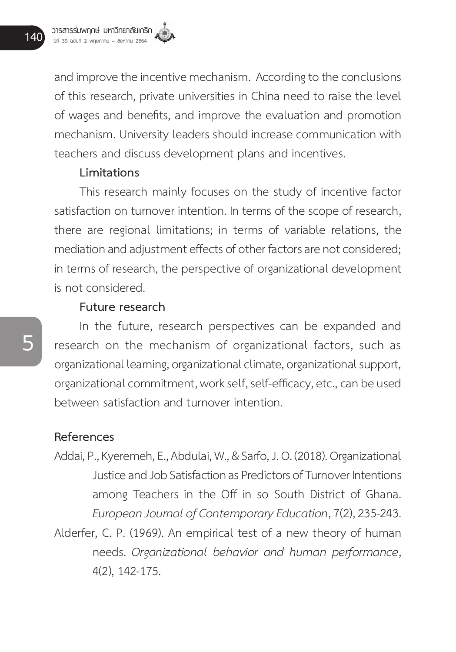and improve the incentive mechanism. According to the conclusions of this research, private universities in China need to raise the level of wages and benefits, and improve the evaluation and promotion mechanism. University leaders should increase communication with teachers and discuss development plans and incentives.

#### **Limitations**

This research mainly focuses on the study of incentive factor satisfaction on turnover intention. In terms of the scope of research, there are regional limitations; in terms of variable relations, the mediation and adjustment effects of other factors are not considered; in terms of research, the perspective of organizational development is not considered.

#### **Future research**

In the future, research perspectives can be expanded and research on the mechanism of organizational factors, such as organizational learning, organizational climate, organizational support, organizational commitment, work self, self-efficacy, etc., can be used between satisfaction and turnover intention.

#### **References**

- Addai, P., Kyeremeh, E., Abdulai, W., & Sarfo, J. O. (2018). Organizational Justice and Job Satisfaction as Predictors of Turnover Intentions among Teachers in the Off in so South District of Ghana. *European Journal of Contemporary Education*, 7(2), 235-243.
- Alderfer, C. P. (1969). An empirical test of a new theory of human needs. *Organizational behavior and human performance*, 4(2), 142-175.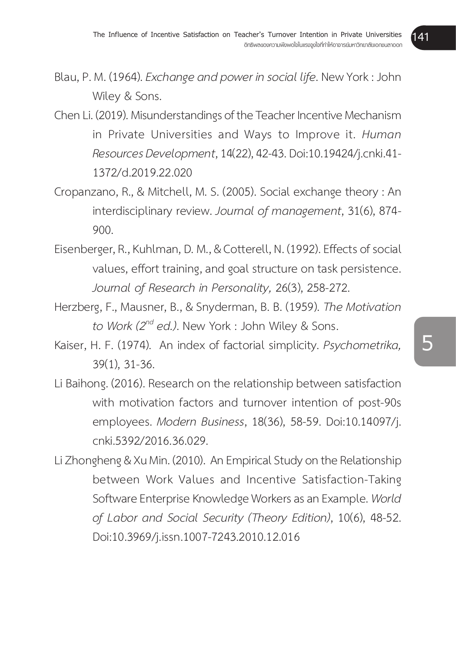- Blau, P. M. (1964). *Exchange and power in social life*. New York : John Wiley & Sons.
- Chen Li. (2019). Misunderstandings of the Teacher Incentive Mechanism in Private Universities and Ways to Improve it. *Human Resources Development*, 14(22), 42-43. Doi:10.19424/j.cnki.41- 1372/d.2019.22.020
- Cropanzano, R., & Mitchell, M. S. (2005). Social exchange theory : An interdisciplinary review. *Journal of management*, 31(6), 874- 900.
- Eisenberger, R., Kuhlman, D. M., & Cotterell, N. (1992). Effects of social values, effort training, and goal structure on task persistence. *Journal of Research in Personality,* 26(3), 258-272.
- Herzberg, F., Mausner, B., & Snyderman, B. B. (1959). *The Motivation to Work (2nd ed.)*. New York : John Wiley & Sons.
- Kaiser, H. F. (1974). An index of factorial simplicity. *Psychometrika,*  39(1), 31-36.
- Li Baihong. (2016). Research on the relationship between satisfaction with motivation factors and turnover intention of post-90s employees. *Modern Business*, 18(36), 58-59. Doi:10.14097/j. cnki.5392/2016.36.029.
- Li Zhongheng & Xu Min. (2010). An Empirical Study on the Relationship between Work Values and Incentive Satisfaction-Taking Software Enterprise Knowledge Workers as an Example. *World of Labor and Social Security (Theory Edition)*, 10(6), 48-52. Doi:10.3969/j.issn.1007-7243.2010.12.016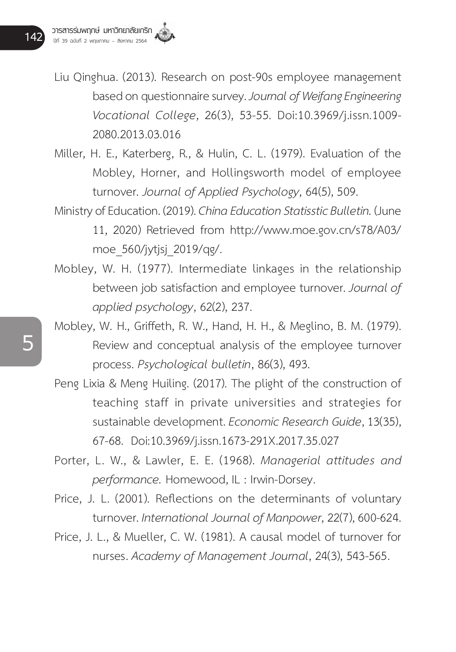Liu Qinghua. (2013). Research on post-90s employee management based on questionnaire survey. *Journal of Weifang Engineering Vocational College*, 26(3), 53-55. Doi:10.3969/j.issn.1009- 2080.2013.03.016

Miller, H. E., Katerberg, R., & Hulin, C. L. (1979). Evaluation of the Mobley, Horner, and Hollingsworth model of employee turnover. *Journal of Applied Psychology*, 64(5), 509.

Ministry of Education. (2019). *China Education Statisstic Bulletin.* (June 11, 2020) Retrieved from http://www.moe.gov.cn/s78/A03/ moe\_560/jytjsj\_2019/qg/.

Mobley, W. H. (1977). Intermediate linkages in the relationship between job satisfaction and employee turnover. *Journal of applied psychology*, 62(2), 237.

Mobley, W. H., Griffeth, R. W., Hand, H. H., & Meglino, B. M. (1979). Review and conceptual analysis of the employee turnover process. *Psychological bulletin*, 86(3), 493.

Peng Lixia & Meng Huiling. (2017). The plight of the construction of teaching staff in private universities and strategies for sustainable development. *Economic Research Guide*, 13(35), 67-68. Doi:10.3969/j.issn.1673-291X.2017.35.027

Porter, L. W., & Lawler, E. E. (1968). *Managerial attitudes and performance.* Homewood, IL : Irwin-Dorsey.

Price, J. L. (2001). Reflections on the determinants of voluntary turnover. *International Journal of Manpower*, 22(7), 600-624.

Price, J. L., & Mueller, C. W. (1981). A causal model of turnover for nurses. *Academy of Management Journal*, 24(3), 543-565.